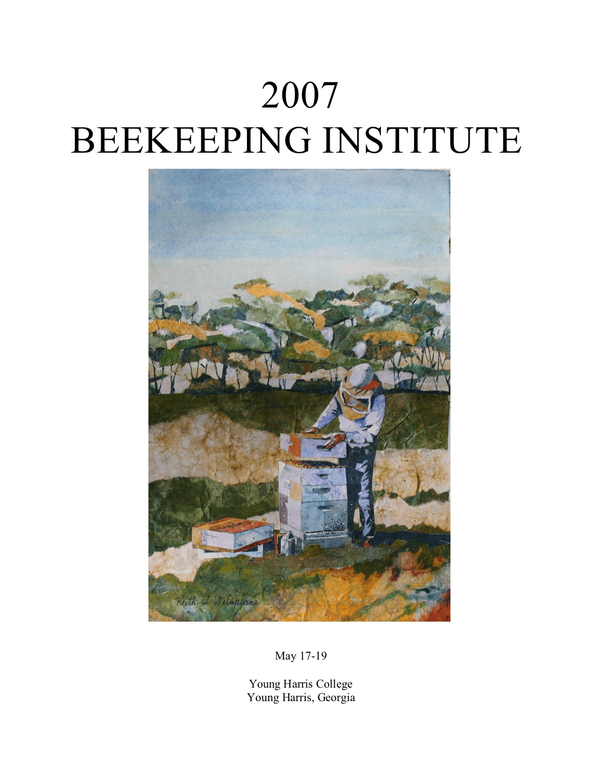# 2007 BEEKEEPING INSTITUTE



May 17-19

Young Harris College Young Harris, Georgia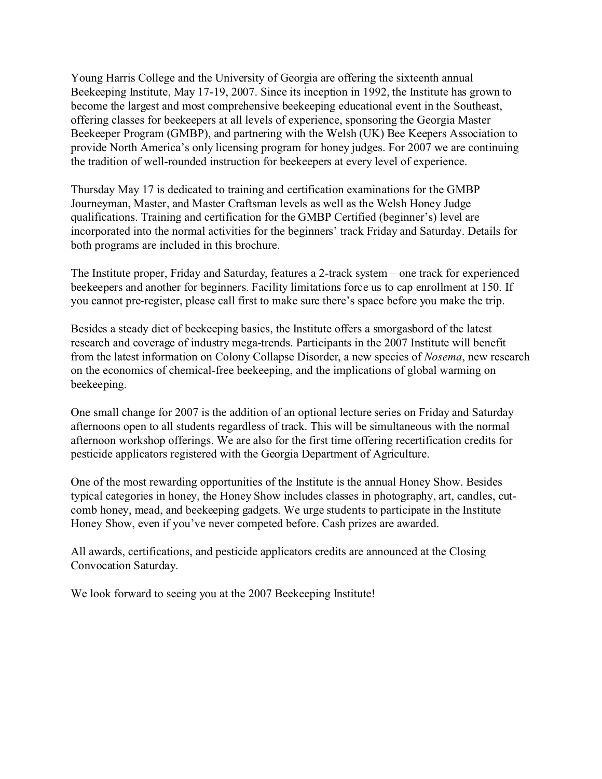Young Harris College and the University of Georgia are offering the sixteenth annual Beekeeping Institute, May 17-19, 2007. Since its inception in 1992, the Institute has grown to become the largest and most comprehensive beekeeping educational event in the Southeast, offering classes for beekeepers at all levels of experience, sponsoring the Georgia Master Beekeeper Program (GMBP), and partnering with the Welsh (UK) Bee Keepers Association to provide North America's only licensing program for honey judges. For 2007 we are continuing the tradition of well-rounded instruction for beekeepers at every level of experience.

Thursday May 17 is dedicated to training and certification examinations for the GMBP Journeyman, Master, and Master Craftsman levels as well as the Welsh Honey Judge qualifications. Training and certification for the GMBP Certified (beginner's) level are incorporated into the normal activities for the beginners' track Friday and Saturday. Details for both programs are included in this brochure.

The Institute proper, Friday and Saturday, features a 2-track system – one track for experienced beekeepers and another for beginners. Facility limitations force us to cap enrollment at 150. If you cannot pre-register, please call first to make sure there's space before you make the trip.

Besides a steady diet of beekeeping basics, the Institute offers a smorgasbord of the latest research and coverage of industry mega-trends. Participants in the 2007 Institute will benefit from the latest information on Colony Collapse Disorder, a new species of *Nosema*, new research on the economics of chemical-free beekeeping, and the implications of global warming on beekeeping.

One small change for 2007 is the addition of an optional lecture series on Friday and Saturday afternoons open to all students regardless of track. This will be simultaneous with the normal afternoon workshop offerings. We are also for the first time offering recertification credits for pesticide applicators registered with the Georgia Department of Agriculture.

One of the most rewarding opportunities of the Institute is the annual Honey Show. Besides typical categories in honey, the Honey Show includes classes in photography, art, candles, cutcomb honey, mead, and beekeeping gadgets. We urge students to participate in the Institute Honey Show, even if you've never competed before. Cash prizes are awarded.

All awards, certifications, and pesticide applicators credits are announced at the Closing Convocation Saturday.

We look forward to seeing you at the 2007 Beekeeping Institute!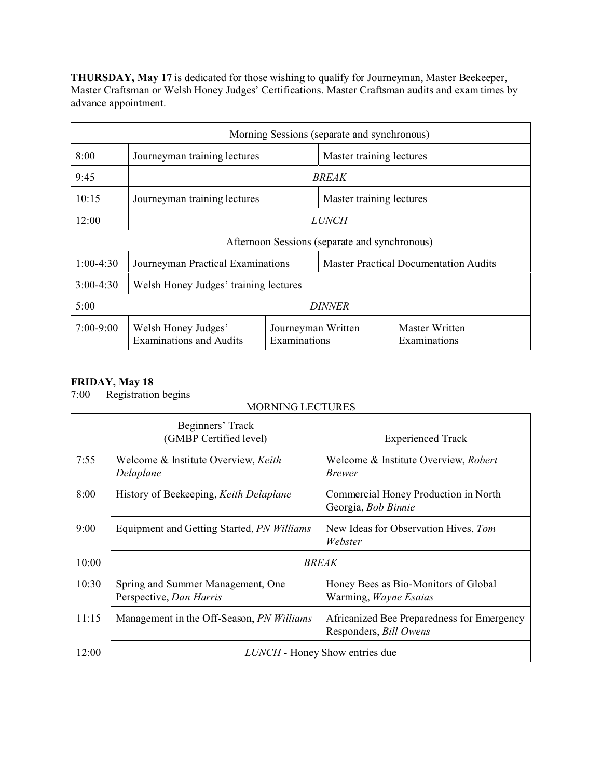**THURSDAY, May 17** is dedicated for those wishing to qualify for Journeyman, Master Beekeeper, Master Craftsman or Welsh Honey Judges' Certifications. Master Craftsman audits and exam times by advance appointment.

| Morning Sessions (separate and synchronous)   |                                                          |                                    |                                              |                                |
|-----------------------------------------------|----------------------------------------------------------|------------------------------------|----------------------------------------------|--------------------------------|
| 8:00                                          | Journeyman training lectures<br>Master training lectures |                                    |                                              |                                |
| 9:45                                          | <i>BREAK</i>                                             |                                    |                                              |                                |
| 10:15                                         | Journeyman training lectures<br>Master training lectures |                                    |                                              |                                |
| 12:00                                         | <i>LUNCH</i>                                             |                                    |                                              |                                |
| Afternoon Sessions (separate and synchronous) |                                                          |                                    |                                              |                                |
| $1:00-4:30$                                   | Journeyman Practical Examinations                        |                                    | <b>Master Practical Documentation Audits</b> |                                |
| $3:00-4:30$                                   | Welsh Honey Judges' training lectures                    |                                    |                                              |                                |
| 5:00<br><i>DINNER</i>                         |                                                          |                                    |                                              |                                |
| $7:00-9:00$                                   | Welsh Honey Judges'<br><b>Examinations and Audits</b>    | Journeyman Written<br>Examinations |                                              | Master Written<br>Examinations |

#### **FRIDAY, May 18**

7:00 Registration begins

|       | Beginners' Track<br>(GMBP Certified level)                   | <b>Experienced Track</b>                                             |  |
|-------|--------------------------------------------------------------|----------------------------------------------------------------------|--|
| 7:55  | Welcome & Institute Overview, Keith<br>Delaplane             | Welcome & Institute Overview, Robert<br><i>Brewer</i>                |  |
| 8:00  | History of Beekeeping, Keith Delaplane                       | Commercial Honey Production in North<br>Georgia, Bob Binnie          |  |
| 9:00  | Equipment and Getting Started, PN Williams                   | New Ideas for Observation Hives, Tom<br>Webster                      |  |
| 10:00 | <b>BREAK</b>                                                 |                                                                      |  |
| 10:30 | Spring and Summer Management, One<br>Perspective, Dan Harris | Honey Bees as Bio-Monitors of Global<br>Warming, Wayne Esaias        |  |
| 11:15 | Management in the Off-Season, <i>PN Williams</i>             | Africanized Bee Preparedness for Emergency<br>Responders, Bill Owens |  |
| 12:00 | <b>LUNCH</b> - Honey Show entries due                        |                                                                      |  |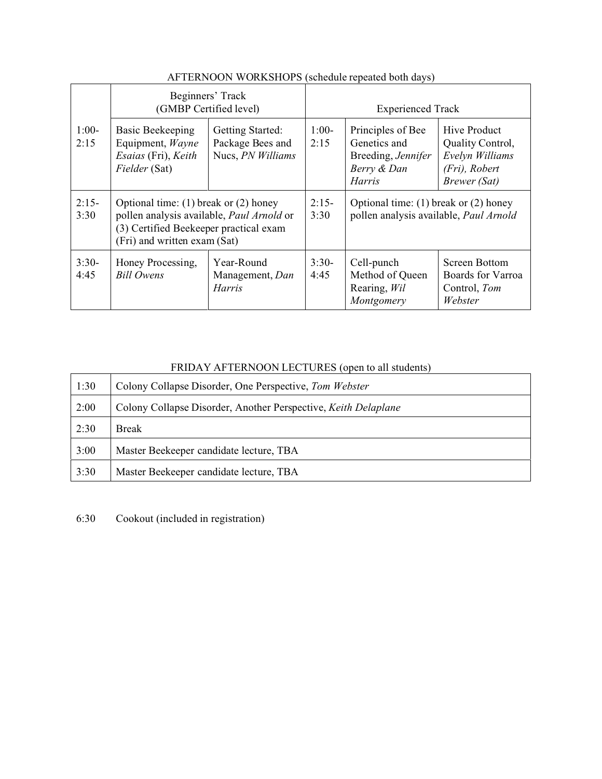|                 | Beginners' Track<br>(GMBP Certified level)                                                                                                                       |                                                           | <b>Experienced Track</b> |                                                                                         |                                                                                      |
|-----------------|------------------------------------------------------------------------------------------------------------------------------------------------------------------|-----------------------------------------------------------|--------------------------|-----------------------------------------------------------------------------------------|--------------------------------------------------------------------------------------|
| $1:00-$<br>2:15 | Basic Beekeeping<br>Equipment, Wayne<br>Esaias (Fri), Keith<br>Fielder (Sat)                                                                                     | Getting Started:<br>Package Bees and<br>Nucs, PN Williams | $1:00-$<br>2:15          | Principles of Bee<br>Genetics and<br>Breeding, Jennifer<br>Berry & Dan<br><i>Harris</i> | Hive Product<br>Quality Control,<br>Evelyn Williams<br>(Fri), Robert<br>Brewer (Sat) |
| $2:15-$<br>3:30 | Optional time: $(1)$ break or $(2)$ honey<br>pollen analysis available, Paul Arnold or<br>(3) Certified Beekeeper practical exam<br>(Fri) and written exam (Sat) |                                                           | $2:15-$<br>3:30          | Optional time: $(1)$ break or $(2)$ honey<br>pollen analysis available, Paul Arnold     |                                                                                      |
| $3:30-$<br>4:45 | Honey Processing,<br><b>Bill Owens</b>                                                                                                                           | Year-Round<br>Management, Dan<br><i>Harris</i>            | $3:30-$<br>4:45          | Cell-punch<br>Method of Queen<br>Rearing, Wil<br>Montgomery                             | Screen Bottom<br>Boards for Varroa<br>Control, Tom<br>Webster                        |

# AFTERNOON WORKSHOPS (schedule repeated both days)

# FRIDAY AFTERNOON LECTURES (open to all students)

| 1:30 | Colony Collapse Disorder, One Perspective, Tom Webster         |
|------|----------------------------------------------------------------|
| 2:00 | Colony Collapse Disorder, Another Perspective, Keith Delaplane |
| 2:30 | <b>Break</b>                                                   |
| 3:00 | Master Beekeeper candidate lecture, TBA                        |
| 3:30 | Master Beekeeper candidate lecture, TBA                        |

6:30 Cookout (included in registration)

 $\Gamma$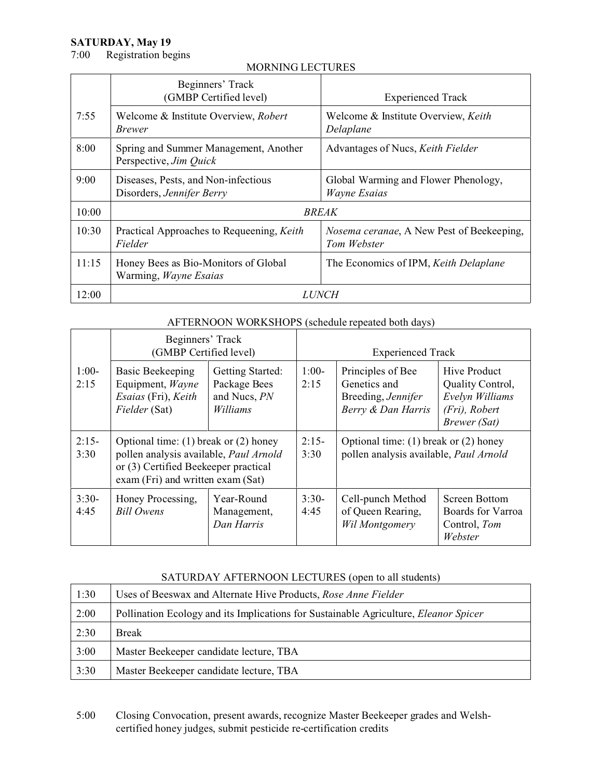# **SATURDAY, May 19**<br>7:00 Registration be

Registration begins

#### MORNING LECTURES

|       | Beginners' Track<br>(GMBP Certified level)                       | <b>Experienced Track</b>                                 |  |
|-------|------------------------------------------------------------------|----------------------------------------------------------|--|
| 7:55  | Welcome & Institute Overview, Robert<br><i>Brewer</i>            | Welcome & Institute Overview, Keith<br>Delaplane         |  |
| 8:00  | Spring and Summer Management, Another<br>Perspective, Jim Quick  | Advantages of Nucs, Keith Fielder                        |  |
| 9:00  | Diseases, Pests, and Non-infectious<br>Disorders, Jennifer Berry | Global Warming and Flower Phenology,<br>Wayne Esaias     |  |
| 10:00 | <b>BREAK</b>                                                     |                                                          |  |
| 10:30 | Practical Approaches to Requeening, Keith<br>Fielder             | Nosema ceranae, A New Pest of Beekeeping,<br>Tom Webster |  |
| 11:15 | Honey Bees as Bio-Monitors of Global<br>Warming, Wayne Esaias    | The Economics of IPM, Keith Delaplane                    |  |
| 12:00 | <i>LUNCH</i>                                                     |                                                          |  |

#### AFTERNOON WORKSHOPS (schedule repeated both days)

|                 | Beginners' Track<br>(GMBP Certified level)                                                                                                                       |                                                              | <b>Experienced Track</b> |                                                                                     |                                                                                                    |
|-----------------|------------------------------------------------------------------------------------------------------------------------------------------------------------------|--------------------------------------------------------------|--------------------------|-------------------------------------------------------------------------------------|----------------------------------------------------------------------------------------------------|
| $1:00-$<br>2:15 | <b>Basic Beekeeping</b><br>Equipment, Wayne<br>Esaias (Fri), Keith<br>Fielder (Sat)                                                                              | Getting Started:<br>Package Bees<br>and Nucs, PN<br>Williams | $1:00-$<br>2:15          | Principles of Bee<br>Genetics and<br>Breeding, Jennifer<br>Berry & Dan Harris       | <b>Hive Product</b><br>Quality Control,<br>Evelyn Williams<br>(Fri), Robert<br><b>Brewer</b> (Sat) |
| $2:15-$<br>3:30 | Optional time: $(1)$ break or $(2)$ honey<br>pollen analysis available, Paul Arnold<br>or (3) Certified Beekeeper practical<br>exam (Fri) and written exam (Sat) |                                                              | $2:15-$<br>3:30          | Optional time: $(1)$ break or $(2)$ honey<br>pollen analysis available, Paul Arnold |                                                                                                    |
| $3:30-$<br>4:45 | Honey Processing,<br><b>Bill Owens</b>                                                                                                                           | Year-Round<br>Management,<br>Dan Harris                      | $3:30-$<br>4:45          | Cell-punch Method<br>of Queen Rearing,<br>Wil Montgomery                            | Screen Bottom<br>Boards for Varroa<br>Control, Tom<br>Webster                                      |

#### SATURDAY AFTERNOON LECTURES (open to all students)

| 1:30 | Uses of Beeswax and Alternate Hive Products, Rose Anne Fielder                              |
|------|---------------------------------------------------------------------------------------------|
| 2:00 | Pollination Ecology and its Implications for Sustainable Agriculture, <i>Eleanor Spicer</i> |
| 2:30 | <b>Break</b>                                                                                |
| 3:00 | Master Beekeeper candidate lecture, TBA                                                     |
| 3:30 | Master Beekeeper candidate lecture, TBA                                                     |

5:00 Closing Convocation, present awards, recognize Master Beekeeper grades and Welshcertified honey judges, submit pesticide re-certification credits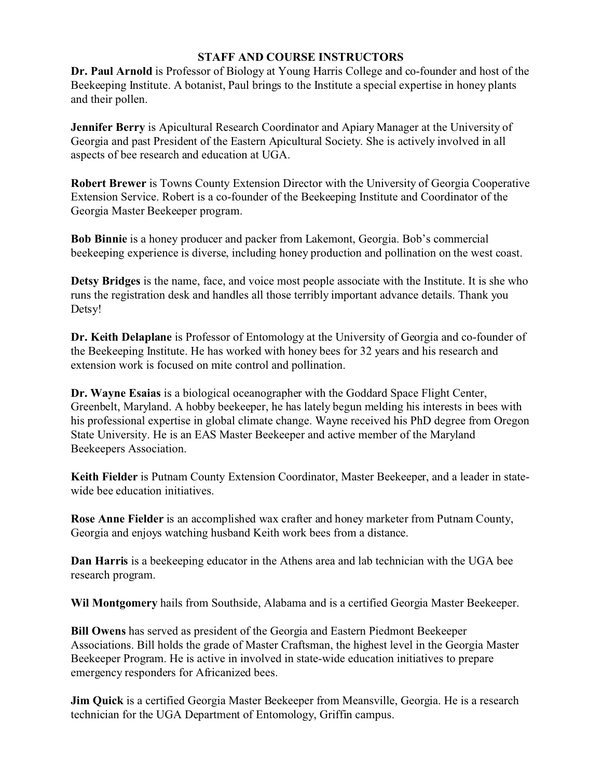#### **STAFF AND COURSE INSTRUCTORS**

**Dr. Paul Arnold** is Professor of Biology at Young Harris College and co-founder and host of the Beekeeping Institute. A botanist, Paul brings to the Institute a special expertise in honey plants and their pollen.

**Jennifer Berry** is Apicultural Research Coordinator and Apiary Manager at the University of Georgia and past President of the Eastern Apicultural Society. She is actively involved in all aspects of bee research and education at UGA.

**Robert Brewer** is Towns County Extension Director with the University of Georgia Cooperative Extension Service. Robert is a co-founder of the Beekeeping Institute and Coordinator of the Georgia Master Beekeeper program.

**Bob Binnie** is a honey producer and packer from Lakemont, Georgia. Bob's commercial beekeeping experience is diverse, including honey production and pollination on the west coast.

**Detsy Bridges** is the name, face, and voice most people associate with the Institute. It is she who runs the registration desk and handles all those terribly important advance details. Thank you Detsy!

**Dr. Keith Delaplane** is Professor of Entomology at the University of Georgia and co-founder of the Beekeeping Institute. He has worked with honey bees for 32 years and his research and extension work is focused on mite control and pollination.

**Dr. Wayne Esaias** is a biological oceanographer with the Goddard Space Flight Center, Greenbelt, Maryland. A hobby beekeeper, he has lately begun melding his interests in bees with his professional expertise in global climate change. Wayne received his PhD degree from Oregon State University. He is an EAS Master Beekeeper and active member of the Maryland Beekeepers Association.

**Keith Fielder** is Putnam County Extension Coordinator, Master Beekeeper, and a leader in statewide bee education initiatives.

**Rose Anne Fielder** is an accomplished wax crafter and honey marketer from Putnam County, Georgia and enjoys watching husband Keith work bees from a distance.

**Dan Harris** is a beekeeping educator in the Athens area and lab technician with the UGA bee research program.

**Wil Montgomery** hails from Southside, Alabama and is a certified Georgia Master Beekeeper.

**Bill Owens** has served as president of the Georgia and Eastern Piedmont Beekeeper Associations. Bill holds the grade of Master Craftsman, the highest level in the Georgia Master Beekeeper Program. He is active in involved in state-wide education initiatives to prepare emergency responders for Africanized bees.

**Jim Quick** is a certified Georgia Master Beekeeper from Meansville, Georgia. He is a research technician for the UGA Department of Entomology, Griffin campus.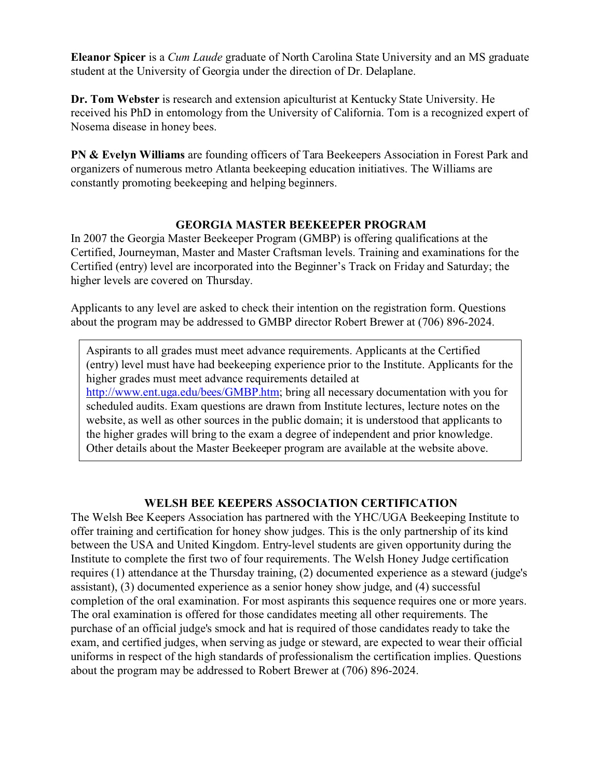**Eleanor Spicer** is a *Cum Laude* graduate of North Carolina State University and an MS graduate student at the University of Georgia under the direction of Dr. Delaplane.

**Dr. Tom Webster** is research and extension apiculturist at Kentucky State University. He received his PhD in entomology from the University of California. Tom is a recognized expert of Nosema disease in honey bees.

**PN & Evelyn Williams** are founding officers of Tara Beekeepers Association in Forest Park and organizers of numerous metro Atlanta beekeeping education initiatives. The Williams are constantly promoting beekeeping and helping beginners.

#### **GEORGIA MASTER BEEKEEPER PROGRAM**

In 2007 the Georgia Master Beekeeper Program (GMBP) is offering qualifications at the Certified, Journeyman, Master and Master Craftsman levels. Training and examinations for the Certified (entry) level are incorporated into the Beginner's Track on Friday and Saturday; the higher levels are covered on Thursday.

Applicants to any level are asked to check their intention on the registration form. Questions about the program may be addressed to GMBP director Robert Brewer at (706) 896-2024.

Aspirants to all grades must meet advance requirements. Applicants at the Certified (entry) level must have had beekeeping experience prior to the Institute. Applicants for the higher grades must meet advance requirements detailed at <http://www.ent.uga.edu/bees/GMBP.htm>; bring all necessary documentation with you for scheduled audits. Exam questions are drawn from Institute lectures, lecture notes on the website, as well as other sources in the public domain; it is understood that applicants to the higher grades will bring to the exam a degree of independent and prior knowledge. Other details about the Master Beekeeper program are available at the website above.

#### **WELSH BEE KEEPERS ASSOCIATION CERTIFICATION**

The Welsh Bee Keepers Association has partnered with the YHC/UGA Beekeeping Institute to offer training and certification for honey show judges. This is the only partnership of its kind between the USA and United Kingdom. Entry-level students are given opportunity during the Institute to complete the first two of four requirements. The Welsh Honey Judge certification requires (1) attendance at the Thursday training, (2) documented experience as a steward (judge's assistant), (3) documented experience as a senior honey show judge, and (4) successful completion of the oral examination. For most aspirants this sequence requires one or more years. The oral examination is offered for those candidates meeting all other requirements. The purchase of an official judge's smock and hat is required of those candidates ready to take the exam, and certified judges, when serving as judge or steward, are expected to wear their official uniforms in respect of the high standards of professionalism the certification implies. Questions about the program may be addressed to Robert Brewer at (706) 896-2024.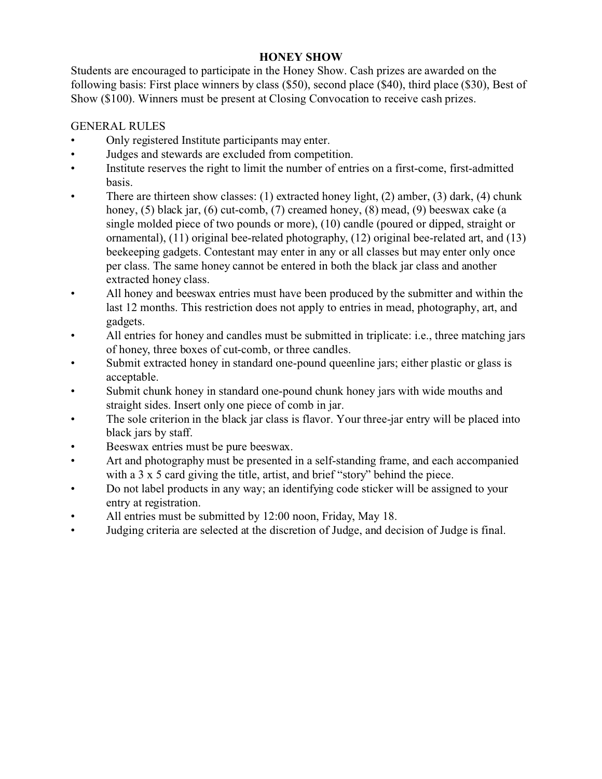# **HONEY SHOW**

Students are encouraged to participate in the Honey Show. Cash prizes are awarded on the following basis: First place winners by class (\$50), second place (\$40), third place (\$30), Best of Show (\$100). Winners must be present at Closing Convocation to receive cash prizes.

# GENERAL RULES

- Only registered Institute participants may enter.
- Judges and stewards are excluded from competition.
- Institute reserves the right to limit the number of entries on a first-come, first-admitted basis.
- There are thirteen show classes: (1) extracted honey light, (2) amber, (3) dark, (4) chunk honey, (5) black jar, (6) cut-comb, (7) creamed honey, (8) mead, (9) beeswax cake (a single molded piece of two pounds or more), (10) candle (poured or dipped, straight or ornamental), (11) original bee-related photography, (12) original bee-related art, and (13) beekeeping gadgets. Contestant may enter in any or all classes but may enter only once per class. The same honey cannot be entered in both the black jar class and another extracted honey class.
- All honey and beeswax entries must have been produced by the submitter and within the last 12 months. This restriction does not apply to entries in mead, photography, art, and gadgets.
- All entries for honey and candles must be submitted in triplicate: i.e., three matching jars of honey, three boxes of cut-comb, or three candles.
- Submit extracted honey in standard one-pound queenline jars; either plastic or glass is acceptable.
- Submit chunk honey in standard one-pound chunk honey jars with wide mouths and straight sides. Insert only one piece of comb in jar.
- The sole criterion in the black jar class is flavor. Your three-jar entry will be placed into black jars by staff.
- Beeswax entries must be pure beeswax.
- Art and photography must be presented in a self-standing frame, and each accompanied with a 3 x 5 card giving the title, artist, and brief "story" behind the piece.
- Do not label products in any way; an identifying code sticker will be assigned to your entry at registration.
- All entries must be submitted by 12:00 noon, Friday, May 18.
- Judging criteria are selected at the discretion of Judge, and decision of Judge is final.